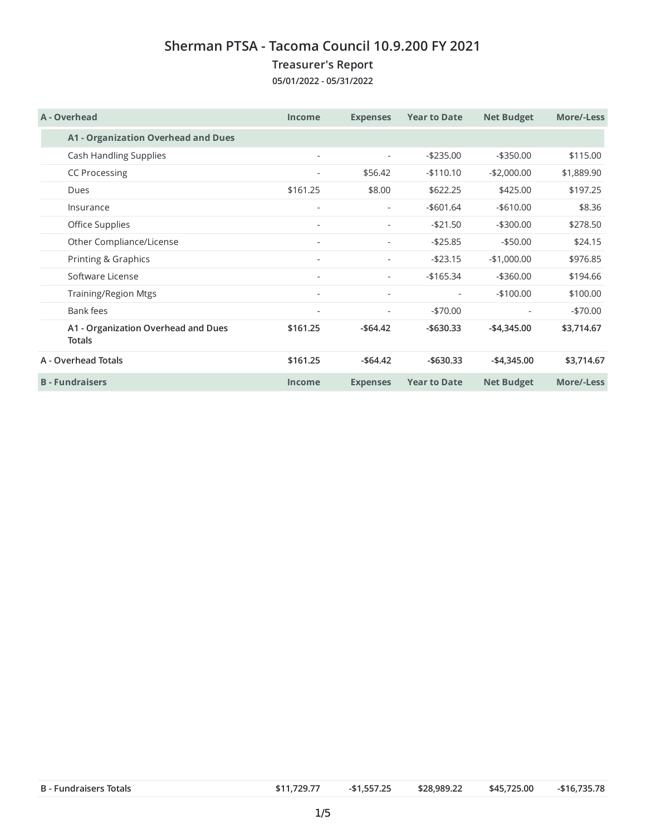## **Sherman PTSA - Tacoma Council 10.9.200 FY 2021**

## **Treasurer's Report**

**05/01/2022 - 05/31/2022**

| A - Overhead                                         | <b>Income</b>            | <b>Expenses</b>          | <b>Year to Date</b> | <b>Net Budget</b>        | More/-Less |
|------------------------------------------------------|--------------------------|--------------------------|---------------------|--------------------------|------------|
| <b>A1 - Organization Overhead and Dues</b>           |                          |                          |                     |                          |            |
| Cash Handling Supplies                               | $\sim$                   | $\sim$                   | $-$235.00$          | $-$ \$350.00             | \$115.00   |
| <b>CC Processing</b>                                 |                          | \$56.42                  | $-$110.10$          | $-$2,000.00$             | \$1,889.90 |
| Dues                                                 | \$161.25                 | \$8.00                   | \$622.25            | \$425.00                 | \$197.25   |
| Insurance                                            | $\overline{\phantom{a}}$ | $\overline{\phantom{a}}$ | $-$601.64$          | $-$ \$610.00             | \$8.36     |
| Office Supplies                                      | ٠                        |                          | $-$21.50$           | $-$300.00$               | \$278.50   |
| Other Compliance/License                             |                          | $\overline{\phantom{a}}$ | $-$25.85$           | $-$ \$50.00              | \$24.15    |
| Printing & Graphics                                  |                          |                          | $-$23.15$           | $-$1,000.00$             | \$976.85   |
| Software License                                     | $\sim$                   | $\overline{\phantom{a}}$ | $-165.34$           | $-$ \$360.00             | \$194.66   |
| Training/Region Mtgs                                 | ٠                        | ٠                        | ٠                   | $-$100.00$               | \$100.00   |
| Bank fees                                            |                          |                          | $-$70.00$           | $\overline{\phantom{a}}$ | $-$70.00$  |
| A1 - Organization Overhead and Dues<br><b>Totals</b> | \$161.25                 | $-$64.42$                | $-$ \$630.33        | $-$ \$4,345.00           | \$3,714.67 |
| A - Overhead Totals                                  | \$161.25                 | $-$ \$64.42              | $-$ \$630.33        | $-$ \$4,345.00           | \$3,714.67 |
| <b>B</b> - Fundraisers                               | Income                   | <b>Expenses</b>          | <b>Year to Date</b> | <b>Net Budget</b>        | More/-Less |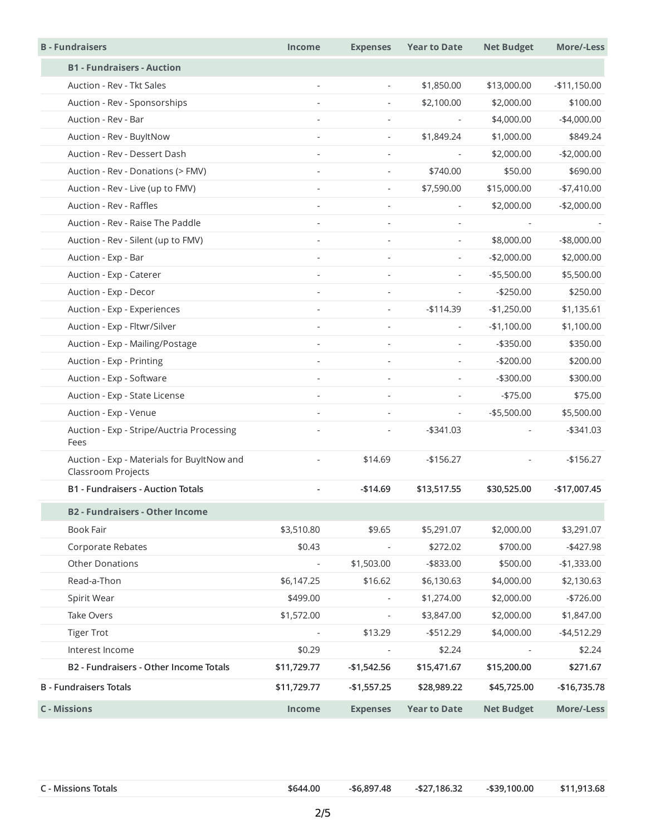| <b>B</b> - Fundraisers                                           | Income                   | <b>Expenses</b>          | <b>Year to Date</b>      | <b>Net Budget</b> | More/-Less     |
|------------------------------------------------------------------|--------------------------|--------------------------|--------------------------|-------------------|----------------|
| <b>B1 - Fundraisers - Auction</b>                                |                          |                          |                          |                   |                |
| Auction - Rev - Tkt Sales                                        |                          | $\overline{\phantom{a}}$ | \$1,850.00               | \$13,000.00       | $-$11,150.00$  |
| Auction - Rev - Sponsorships                                     |                          | $\overline{\phantom{a}}$ | \$2,100.00               | \$2,000.00        | \$100.00       |
| Auction - Rev - Bar                                              |                          | $\overline{\phantom{a}}$ | $\overline{\phantom{a}}$ | \$4,000.00        | $-$4,000.00$   |
| Auction - Rev - BuyltNow                                         |                          | $\sim$                   | \$1,849.24               | \$1,000.00        | \$849.24       |
| Auction - Rev - Dessert Dash                                     |                          |                          |                          | \$2,000.00        | $-$2,000.00$   |
| Auction - Rev - Donations (> FMV)                                | $\overline{\phantom{a}}$ | $\overline{\phantom{a}}$ | \$740.00                 | \$50.00           | \$690.00       |
| Auction - Rev - Live (up to FMV)                                 | $\sim$                   | $\overline{\phantom{a}}$ | \$7,590.00               | \$15,000.00       | $-$7,410.00$   |
| Auction - Rev - Raffles                                          |                          | $\overline{\phantom{a}}$ | $\overline{\phantom{a}}$ | \$2,000.00        | $-$2,000.00$   |
| Auction - Rev - Raise The Paddle                                 |                          |                          |                          |                   |                |
| Auction - Rev - Silent (up to FMV)                               | $\sim$                   | $\sim$                   | $\overline{\phantom{a}}$ | \$8,000.00        | $-$ \$8,000.00 |
| Auction - Exp - Bar                                              |                          | $\sim$                   | $\overline{\phantom{a}}$ | $-$2,000.00$      | \$2,000.00     |
| Auction - Exp - Caterer                                          |                          |                          |                          | $-$5,500.00$      | \$5,500.00     |
| Auction - Exp - Decor                                            | $\sim$                   | $\sim$                   | $\overline{\phantom{a}}$ | $-$250.00$        | \$250.00       |
| Auction - Exp - Experiences                                      |                          | $\overline{\phantom{a}}$ | $-$114.39$               | $-$1,250.00$      | \$1,135.61     |
| Auction - Exp - Fltwr/Silver                                     | $\sim$                   | $\overline{\phantom{a}}$ | $\overline{\phantom{a}}$ | $-$1,100.00$      | \$1,100.00     |
| Auction - Exp - Mailing/Postage                                  |                          |                          |                          | $-$ \$350.00      | \$350.00       |
| Auction - Exp - Printing                                         | $\omega$                 | $\overline{\phantom{a}}$ | $\overline{\phantom{a}}$ | $-$200.00$        | \$200.00       |
| Auction - Exp - Software                                         | ×.                       | $\sim$                   | $\overline{\phantom{a}}$ | $-$ \$300.00      | \$300.00       |
| Auction - Exp - State License                                    |                          | $\overline{\phantom{m}}$ | $\overline{\phantom{a}}$ | $-$75.00$         | \$75.00        |
| Auction - Exp - Venue                                            |                          |                          |                          | $-$ \$5,500.00    | \$5,500.00     |
| Auction - Exp - Stripe/Auctria Processing<br>Fees                |                          | $\sim$                   | $-$ \$341.03             | $\sim$            | $-$ \$341.03   |
| Auction - Exp - Materials for BuyltNow and<br>Classroom Projects |                          | \$14.69                  | $-$156.27$               |                   | $-$156.27$     |
| <b>B1 - Fundraisers - Auction Totals</b>                         |                          | $-$14.69$                | \$13,517.55              | \$30,525.00       | -\$17,007.45   |
| <b>B2 - Fundraisers - Other Income</b>                           |                          |                          |                          |                   |                |
| <b>Book Fair</b>                                                 | \$3,510.80               | \$9.65                   | \$5,291.07               | \$2,000.00        | \$3,291.07     |
| Corporate Rebates                                                | \$0.43                   |                          | \$272.02                 | \$700.00          | $-4427.98$     |
| <b>Other Donations</b>                                           |                          | \$1,503.00               | $-$ \$833.00             | \$500.00          | $-$1,333.00$   |
| Read-a-Thon                                                      | \$6,147.25               | \$16.62                  | \$6,130.63               | \$4,000.00        | \$2,130.63     |
| Spirit Wear                                                      | \$499.00                 |                          | \$1,274.00               | \$2,000.00        | $-$726.00$     |
| Take Overs                                                       | \$1,572.00               |                          | \$3,847.00               | \$2,000.00        | \$1,847.00     |
| <b>Tiger Trot</b>                                                |                          | \$13.29                  | $-$ \$512.29             | \$4,000.00        | $-$4,512.29$   |
| Interest Income                                                  | \$0.29                   |                          | \$2.24                   |                   | \$2.24         |
| B2 - Fundraisers - Other Income Totals                           | \$11,729.77              | $-$1,542.56$             | \$15,471.67              | \$15,200.00       | \$271.67       |
| <b>B</b> - Fundraisers Totals                                    | \$11,729.77              | $-$1,557.25$             | \$28,989.22              | \$45,725.00       | $-$16,735.78$  |
| <b>C</b> - Missions                                              | Income                   | <b>Expenses</b>          | <b>Year to Date</b>      | <b>Net Budget</b> | More/-Less     |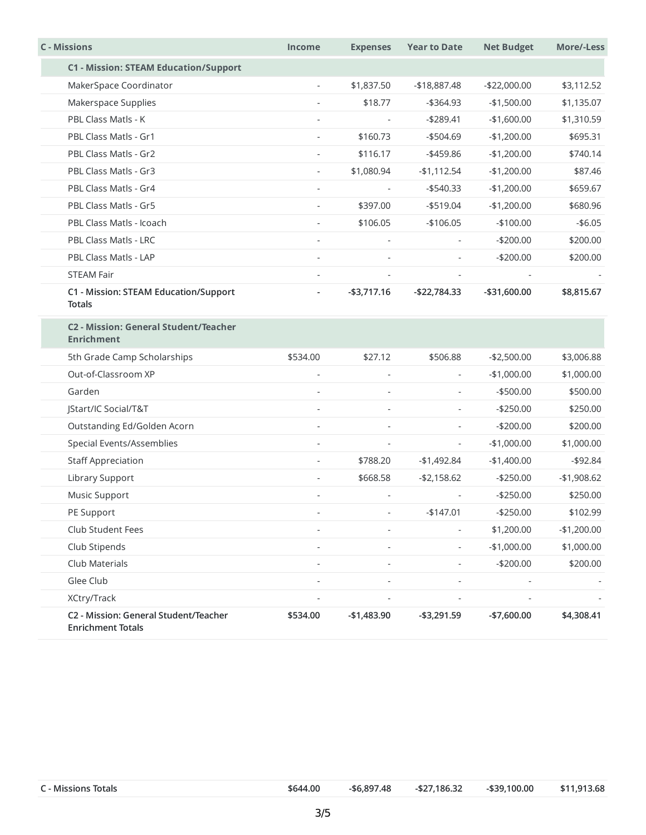| <b>C</b> - Missions                                               | <b>Income</b>  | <b>Expenses</b>          | <b>Year to Date</b>      | <b>Net Budget</b> | More/-Less   |
|-------------------------------------------------------------------|----------------|--------------------------|--------------------------|-------------------|--------------|
| <b>C1 - Mission: STEAM Education/Support</b>                      |                |                          |                          |                   |              |
| MakerSpace Coordinator                                            | $\blacksquare$ | \$1,837.50               | $-$18,887.48$            | $-$22,000.00$     | \$3,112.52   |
| Makerspace Supplies                                               |                | \$18.77                  | -\$364.93                | $-$1,500.00$      | \$1,135.07   |
| PBL Class Matls - K                                               |                |                          | $-$289.41$               | $-$1,600.00$      | \$1,310.59   |
| PBL Class Matls - Gr1                                             |                | \$160.73                 | $-$504.69$               | $-$1,200.00$      | \$695.31     |
| PBL Class Matls - Gr2                                             | $\sim$         | \$116.17                 | -\$459.86                | $-$1,200.00$      | \$740.14     |
| PBL Class Matls - Gr3                                             |                | \$1,080.94               | $-$1,112.54$             | $-$1,200.00$      | \$87.46      |
| PBL Class Matls - Gr4                                             |                |                          | $-$540.33$               | $-$1,200.00$      | \$659.67     |
| PBL Class Matls - Gr5                                             | $\sim$         | \$397.00                 | $-$ \$519.04             | $-$1,200.00$      | \$680.96     |
| PBL Class Matls - Icoach                                          |                | \$106.05                 | $-$106.05$               | $-$100.00$        | $- $6.05$    |
| PBL Class Matls - LRC                                             | $\sim$         |                          | $\overline{\phantom{a}}$ | $-$200.00$        | \$200.00     |
| PBL Class Matls - LAP                                             |                |                          |                          | $-$200.00$        | \$200.00     |
| <b>STEAM Fair</b>                                                 | $\sim$         | $\overline{\phantom{a}}$ | $\blacksquare$           |                   |              |
| C1 - Mission: STEAM Education/Support<br><b>Totals</b>            |                | $-$ \$3,717.16           | $-$22,784.33$            | $-$31,600.00$     | \$8,815.67   |
| C2 - Mission: General Student/Teacher<br><b>Enrichment</b>        |                |                          |                          |                   |              |
| 5th Grade Camp Scholarships                                       | \$534.00       | \$27.12                  | \$506.88                 | $-$2,500.00$      | \$3,006.88   |
| Out-of-Classroom XP                                               |                |                          | $\overline{\phantom{a}}$ | $-$1,000.00$      | \$1,000.00   |
| Garden                                                            |                |                          | $\overline{\phantom{a}}$ | $-$500.00$        | \$500.00     |
| JStart/IC Social/T&T                                              |                |                          | $\blacksquare$           | $-$250.00$        | \$250.00     |
| Outstanding Ed/Golden Acorn                                       |                |                          | $\overline{\phantom{a}}$ | $-$200.00$        | \$200.00     |
| Special Events/Assemblies                                         | $\sim$         |                          | $\overline{\phantom{a}}$ | $-$1,000.00$      | \$1,000.00   |
| <b>Staff Appreciation</b>                                         |                | \$788.20                 | $-$1,492.84$             | $-$1,400.00$      | $-$ \$92.84  |
| Library Support                                                   |                | \$668.58                 | $- $2,158.62$            | $-$250.00$        | $-$1,908.62$ |
| Music Support                                                     |                |                          |                          | $-$250.00$        | \$250.00     |
| PE Support                                                        |                |                          | $-$147.01$               | $-$250.00$        | \$102.99     |
| Club Student Fees                                                 |                | ÷,                       |                          | \$1,200.00        | $-$1,200.00$ |
| Club Stipends                                                     | ٠              | $\overline{\phantom{a}}$ | $\overline{\phantom{a}}$ | $-$1,000.00$      | \$1,000.00   |
| Club Materials                                                    | $\sim$         | $\overline{\phantom{a}}$ | $\overline{a}$           | $-$200.00$        | \$200.00     |
| Glee Club                                                         |                |                          |                          |                   |              |
| XCtry/Track                                                       |                |                          |                          |                   |              |
| C2 - Mission: General Student/Teacher<br><b>Enrichment Totals</b> | \$534.00       | $-$1,483.90$             | $- $3,291.59$            | $-$7,600.00$      | \$4,308.41   |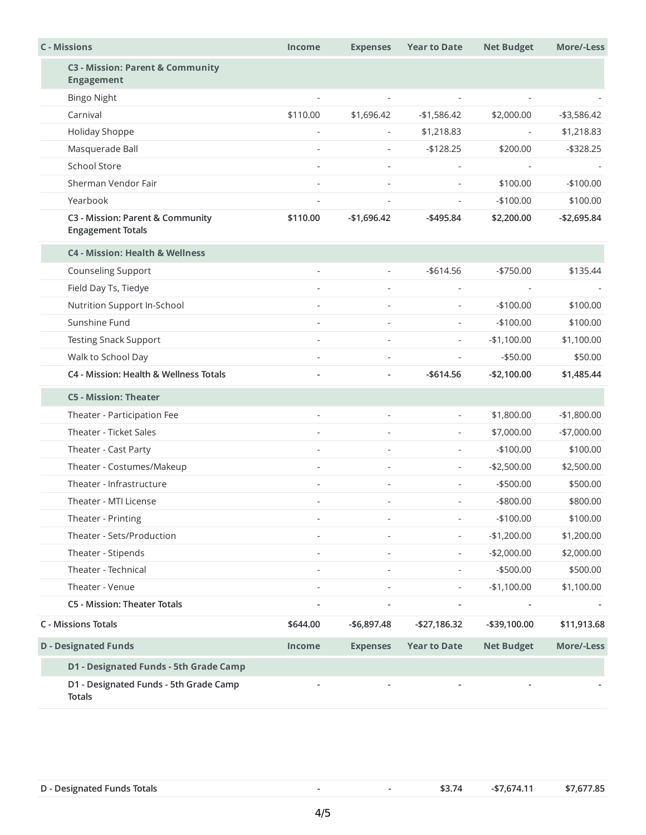| <b>C</b> - Missions                                          | <b>Income</b>  | <b>Expenses</b>          | <b>Year to Date</b>      | <b>Net Budget</b> | More/-Less    |
|--------------------------------------------------------------|----------------|--------------------------|--------------------------|-------------------|---------------|
| C3 - Mission: Parent & Community<br><b>Engagement</b>        |                |                          |                          |                   |               |
| <b>Bingo Night</b>                                           |                |                          |                          |                   |               |
| Carnival                                                     | \$110.00       | \$1,696.42               | -\$1,586.42              | \$2,000.00        | $- $3,586.42$ |
| Holiday Shoppe                                               | $\overline{a}$ | ÷,                       | \$1,218.83               |                   | \$1,218.83    |
| Masquerade Ball                                              |                |                          | $-$128.25$               | \$200.00          | $-$ \$328.25  |
| <b>School Store</b>                                          | $\overline{a}$ |                          |                          |                   |               |
| Sherman Vendor Fair                                          |                |                          |                          | \$100.00          | $-$100.00$    |
| Yearbook                                                     |                |                          | $\overline{a}$           | $-$100.00$        | \$100.00      |
| C3 - Mission: Parent & Community<br><b>Engagement Totals</b> | \$110.00       | $-$1,696.42$             | $-$ \$495.84             | \$2,200.00        | $-$2,695.84$  |
| <b>C4 - Mission: Health &amp; Wellness</b>                   |                |                          |                          |                   |               |
| <b>Counseling Support</b>                                    |                | $\sim$                   | $-$614.56$               | $- $750.00$       | \$135.44      |
| Field Day Ts, Tiedye                                         |                |                          |                          |                   |               |
| Nutrition Support In-School                                  |                | $\overline{\phantom{a}}$ | $\blacksquare$           | $-$100.00$        | \$100.00      |
| Sunshine Fund                                                |                |                          | $\overline{\phantom{a}}$ | $-$100.00$        | \$100.00      |
| <b>Testing Snack Support</b>                                 |                |                          | $\overline{\phantom{a}}$ | $-$1,100.00$      | \$1,100.00    |
| Walk to School Day                                           |                |                          |                          | $- $50.00$        | \$50.00       |
| C4 - Mission: Health & Wellness Totals                       |                | $\overline{\phantom{a}}$ | $-$614.56$               | $-$2,100.00$      | \$1,485.44    |
| <b>C5 - Mission: Theater</b>                                 |                |                          |                          |                   |               |
| Theater - Participation Fee                                  |                |                          | $\overline{\phantom{a}}$ | \$1,800.00        | $-$1,800.00$  |
| Theater - Ticket Sales                                       |                |                          | $\overline{\phantom{a}}$ | \$7,000.00        | $-$7,000.00$  |
| Theater - Cast Party                                         |                |                          | $\overline{\phantom{a}}$ | $-$100.00$        | \$100.00      |
| Theater - Costumes/Makeup                                    |                |                          | $\overline{\phantom{a}}$ | $-$2,500.00$      | \$2,500.00    |
| Theater - Infrastructure                                     |                |                          | $\overline{\phantom{a}}$ | $-$500.00$        | \$500.00      |
| Theater - MTI License                                        |                |                          | $\overline{\phantom{a}}$ | $-$ \$800.00      | \$800.00      |
| Theater - Printing                                           |                |                          | $\overline{\phantom{a}}$ | $-$100.00$        | \$100.00      |
| Theater - Sets/Production                                    |                |                          | $\overline{\phantom{a}}$ | $-$1,200.00$      | \$1,200.00    |
| Theater - Stipends                                           | ÷.             |                          | $\sim$                   | $-$2,000.00$      | \$2,000.00    |
| Theater - Technical                                          |                |                          | $\overline{\phantom{a}}$ | $-$ \$500.00      | \$500.00      |
| Theater - Venue                                              | $\overline{a}$ | $\sim$                   | $\overline{\phantom{a}}$ | $-$1,100.00$      | \$1,100.00    |
| C5 - Mission: Theater Totals                                 |                |                          | $\overline{\phantom{a}}$ |                   |               |
| <b>C</b> - Missions Totals                                   | \$644.00       | $-$6,897.48$             | $-$ \$27,186.32          | -\$39,100.00      | \$11,913.68   |
| <b>D</b> - Designated Funds                                  | <b>Income</b>  | <b>Expenses</b>          | <b>Year to Date</b>      | <b>Net Budget</b> | More/-Less    |
| D1 - Designated Funds - 5th Grade Camp                       |                |                          |                          |                   |               |
| D1 - Designated Funds - 5th Grade Camp<br><b>Totals</b>      |                |                          |                          |                   |               |